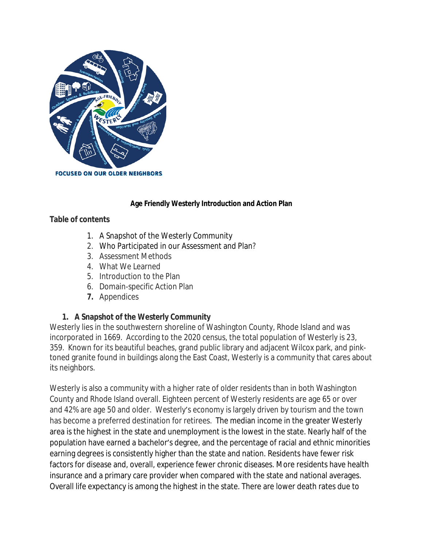

## **Age Friendly Westerly Introduction and Action Plan**

### **Table of contents**

- 1. A Snapshot of the Westerly Community
- 2. Who Participated in our Assessment and Plan?
- 3. Assessment Methods
- 4. What We Learned
- 5. Introduction to the Plan
- 6. Domain-specific Action Plan
- **7.** Appendices

### **1. A Snapshot of the Westerly Community**

Westerly lies in the southwestern shoreline of Washington County, Rhode Island and was incorporated in 1669. According to the 2020 census, the total population of Westerly is 23, 359. Known for its beautiful beaches, grand public library and adjacent Wilcox park, and pinktoned granite found in buildings along the East Coast, Westerly is a community that cares about its neighbors.

Westerly is also a community with a higher rate of older residents than in both Washington County and Rhode Island overall. Eighteen percent of Westerly residents are age 65 or over and 42% are age 50 and older. Westerly's economy is largely driven by tourism and the town has become a preferred destination for retirees. The median income in the greater Westerly area is the highest in the state and unemployment is the lowest in the state. Nearly half of the population have earned a bachelor's degree, and the percentage of racial and ethnic minorities earning degrees is consistently higher than the state and nation. Residents have fewer risk factors for disease and, overall, experience fewer chronic diseases. More residents have health insurance and a primary care provider when compared with the state and national averages. Overall life expectancy is among the highest in the state. There are lower death rates due to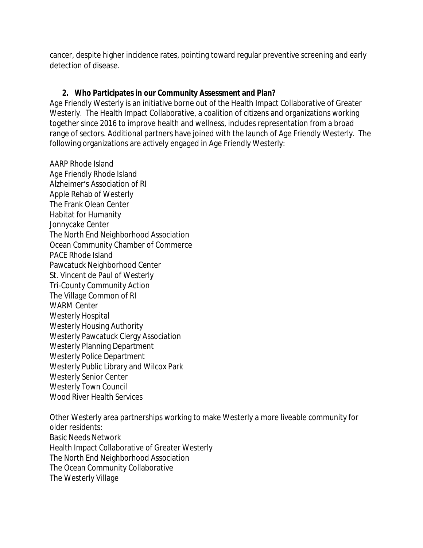cancer, despite higher incidence rates, pointing toward regular preventive screening and early detection of disease.

## **2. Who Participates in our Community Assessment and Plan?**

Age Friendly Westerly is an initiative borne out of the Health Impact Collaborative of Greater Westerly. The Health Impact Collaborative, a coalition of citizens and organizations working together since 2016 to improve health and wellness, includes representation from a broad range of sectors. Additional partners have joined with the launch of Age Friendly Westerly. The following organizations are actively engaged in Age Friendly Westerly:

AARP Rhode Island Age Friendly Rhode Island Alzheimer's Association of RI Apple Rehab of Westerly The Frank Olean Center Habitat for Humanity Jonnycake Center The North End Neighborhood Association Ocean Community Chamber of Commerce PACE Rhode Island Pawcatuck Neighborhood Center St. Vincent de Paul of Westerly Tri-County Community Action The Village Common of RI WARM Center Westerly Hospital Westerly Housing Authority Westerly Pawcatuck Clergy Association Westerly Planning Department Westerly Police Department Westerly Public Library and Wilcox Park Westerly Senior Center Westerly Town Council Wood River Health Services

Other Westerly area partnerships working to make Westerly a more liveable community for older residents: Basic Needs Network Health Impact Collaborative of Greater Westerly The North End Neighborhood Association The Ocean Community Collaborative The Westerly Village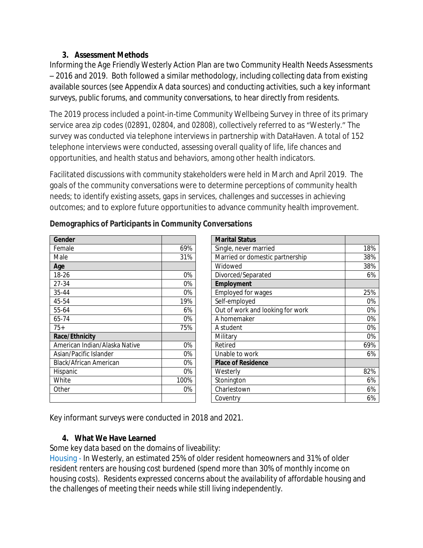## **3. Assessment Methods**

Informing the Age Friendly Westerly Action Plan are two Community Health Needs Assessments – 2016 and 2019. Both followed a similar methodology, including collecting data from existing available sources (see Appendix A data sources) and conducting activities, such a key informant surveys, public forums, and community conversations, to hear directly from residents.

The 2019 process included a point-in-time Community Wellbeing Survey in three of its primary service area zip codes (02891, 02804, and 02808), collectively referred to as "Westerly." The survey was conducted via telephone interviews in partnership with DataHaven. A total of 152 telephone interviews were conducted, assessing overall quality of life, life chances and opportunities, and health status and behaviors, among other health indicators.

Facilitated discussions with community stakeholders were held in March and April 2019. The goals of the community conversations were to determine perceptions of community health needs; to identify existing assets, gaps in services, challenges and successes in achieving outcomes; and to explore future opportunities to advance community health improvement.

| Gender                        |       | <b>Marital Status</b>     |
|-------------------------------|-------|---------------------------|
| Female                        | 69%   | Single, never marri       |
| Male                          | 31%   | Married or domest         |
| Age                           |       | Widowed                   |
| 18-26                         | $0\%$ | Divorced/Separate         |
| 27-34                         | 0%    | Employment                |
| 35-44                         | 0%    | Employed for wage         |
| 45-54                         | 19%   | Self-employed             |
| 55-64                         | 6%    | Out of work and lo        |
| 65-74                         | 0%    | A homemaker               |
| $75+$                         | 75%   | A student                 |
| Race/Ethnicity                |       | Military                  |
| American Indian/Alaska Native | $0\%$ | Retired                   |
| Asian/Pacific Islander        | $0\%$ | Unable to work            |
| Black/African American        | $0\%$ | <b>Place of Residence</b> |
| Hispanic                      | $0\%$ | Westerly                  |
| White                         | 100%  | Stonington                |
| Other                         | 0%    | Charlestown               |
|                               |       | Coventry                  |
|                               |       |                           |

## **Demographics of Participants in Community Conversations**

| Gender                        |      |                                        |     |
|-------------------------------|------|----------------------------------------|-----|
|                               |      | <b>Marital Status</b>                  |     |
| Female                        | 69%  | Single, never married                  | 18% |
| Male                          | 31%  | Married or domestic partnership<br>38% |     |
| Age                           |      | Widowed                                | 38% |
| 18-26                         | 0%   | Divorced/Separated<br>6%               |     |
| 27-34                         | 0%   | Employment                             |     |
| 35-44                         | 0%   | Employed for wages                     | 25% |
| 45-54                         | 19%  | Self-employed                          | 0%  |
| 55-64                         | 6%   | Out of work and looking for work       | 0%  |
| 65-74                         | 0%   | A homemaker                            | 0%  |
| $75+$                         | 75%  | A student                              | 0%  |
| Race/Ethnicity                |      | Military                               | 0%  |
| American Indian/Alaska Native | 0%   | Retired                                | 69% |
| Asian/Pacific Islander        | 0%   | Unable to work<br>6%                   |     |
| Black/African American        | 0%   | <b>Place of Residence</b>              |     |
| Hispanic                      | 0%   | Westerly                               | 82% |
| White                         | 100% | Stonington                             | 6%  |
| Other                         | 0%   | Charlestown                            | 6%  |
|                               |      | Coventry                               | 6%  |

Key informant surveys were conducted in 2018 and 2021.

## **4. What We Have Learned**

Some key data based on the domains of liveability:

Housing - In Westerly, an estimated 25% of older resident homeowners and 31% of older resident renters are housing cost burdened (spend more than 30% of monthly income on housing costs). Residents expressed concerns about the availability of affordable housing and the challenges of meeting their needs while still living independently.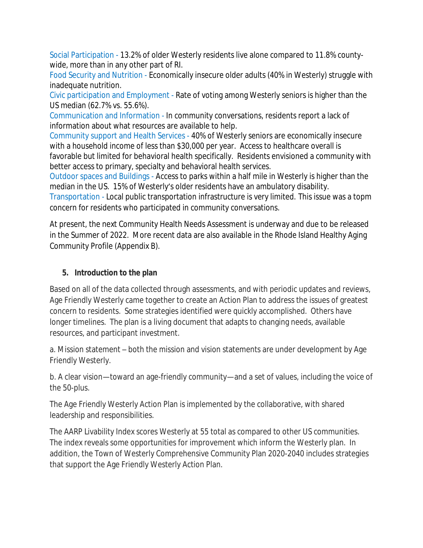Social Participation - 13.2% of older Westerly residents live alone compared to 11.8% countywide, more than in any other part of RI.

Food Security and Nutrition - Economically insecure older adults (40% in Westerly) struggle with inadequate nutrition.

Civic participation and Employment - Rate of voting among Westerly seniors is higher than the US median (62.7% vs. 55.6%).

Communication and Information - In community conversations, residents report a lack of information about what resources are available to help.

Community support and Health Services - 40% of Westerly seniors are economically insecure with a household income of less than \$30,000 per year. Access to healthcare overall is favorable but limited for behavioral health specifically. Residents envisioned a community with better access to primary, specialty and behavioral health services.

Outdoor spaces and Buildings - Access to parks within a half mile in Westerly is higher than the median in the US. 15% of Westerly's older residents have an ambulatory disability.

Transportation - Local public transportation infrastructure is very limited. This issue was a topm concern for residents who participated in community conversations.

At present, the next Community Health Needs Assessment is underway and due to be released in the Summer of 2022. More recent data are also available in the Rhode Island Healthy Aging Community Profile (Appendix B).

## **5. Introduction to the plan**

Based on all of the data collected through assessments, and with periodic updates and reviews, Age Friendly Westerly came together to create an Action Plan to address the issues of greatest concern to residents. Some strategies identified were quickly accomplished. Others have longer timelines. The plan is a living document that adapts to changing needs, available resources, and participant investment.

a. Mission statement – both the mission and vision statements are under development by Age Friendly Westerly.

b. A clear vision—toward an age-friendly community—and a set of values, including the voice of the 50-plus.

The Age Friendly Westerly Action Plan is implemented by the collaborative, with shared leadership and responsibilities.

The AARP Livability Index scores Westerly at 55 total as compared to other US communities. The index reveals some opportunities for improvement which inform the Westerly plan. In addition, the Town of Westerly Comprehensive Community Plan 2020-2040 includes strategies that support the Age Friendly Westerly Action Plan.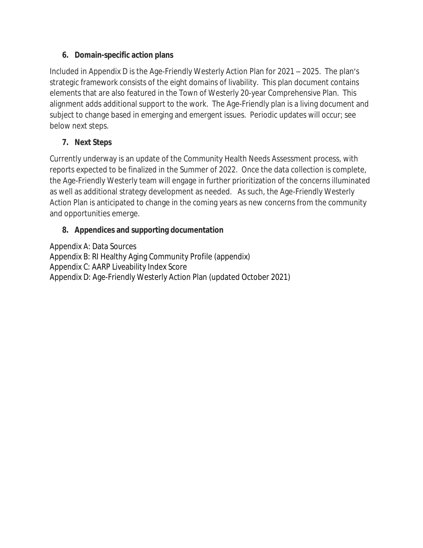## **6. Domain-specific action plans**

Included in Appendix D is the Age-Friendly Westerly Action Plan for 2021 – 2025. The plan's strategic framework consists of the eight domains of livability. This plan document contains elements that are also featured in the Town of Westerly 20-year Comprehensive Plan. This alignment adds additional support to the work. The Age-Friendly plan is a living document and subject to change based in emerging and emergent issues. Periodic updates will occur; see below next steps.

# **7. Next Steps**

Currently underway is an update of the Community Health Needs Assessment process, with reports expected to be finalized in the Summer of 2022. Once the data collection is complete, the Age-Friendly Westerly team will engage in further prioritization of the concerns illuminated as well as additional strategy development as needed. As such, the Age-Friendly Westerly Action Plan is anticipated to change in the coming years as new concerns from the community and opportunities emerge.

# **8. Appendices and supporting documentation**

Appendix A: Data Sources Appendix B: RI Healthy Aging Community Profile (appendix) Appendix C: AARP Liveability Index Score Appendix D: Age-Friendly Westerly Action Plan (updated October 2021)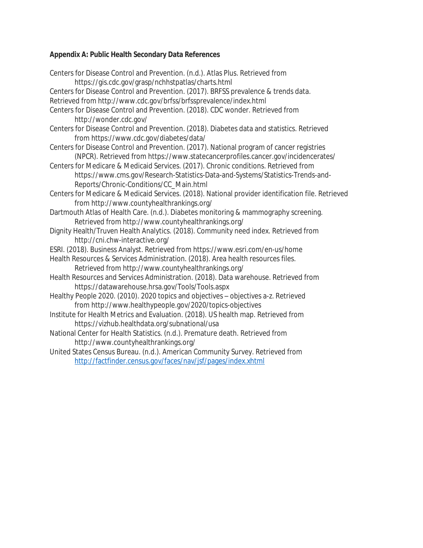## **Appendix A: Public Health Secondary Data References**

| Centers for Disease Control and Prevention. (n.d.). Atlas Plus. Retrieved from                                                                                                 |
|--------------------------------------------------------------------------------------------------------------------------------------------------------------------------------|
| https://gis.cdc.gov/grasp/nchhstpatlas/charts.html                                                                                                                             |
| Centers for Disease Control and Prevention. (2017). BRFSS prevalence & trends data.                                                                                            |
| Retrieved from http://www.cdc.gov/brfss/brfssprevalence/index.html                                                                                                             |
| Centers for Disease Control and Prevention. (2018). CDC wonder. Retrieved from<br>http://wonder.cdc.gov/                                                                       |
| Centers for Disease Control and Prevention. (2018). Diabetes data and statistics. Retrieved<br>from https://www.cdc.gov/diabetes/data/                                         |
| Centers for Disease Control and Prevention. (2017). National program of cancer registries<br>(NPCR). Retrieved from https://www.statecancerprofiles.cancer.gov/incidencerates/ |
| Centers for Medicare & Medicaid Services. (2017). Chronic conditions. Retrieved from                                                                                           |
| https://www.cms.gov/Research-Statistics-Data-and-Systems/Statistics-Trends-and-<br>Reports/Chronic-Conditions/CC_Main.html                                                     |
| Centers for Medicare & Medicaid Services. (2018). National provider identification file. Retrieved                                                                             |
| from http://www.countyhealthrankings.org/                                                                                                                                      |
| Dartmouth Atlas of Health Care. (n.d.). Diabetes monitoring & mammography screening.                                                                                           |
| Retrieved from http://www.countyhealthrankings.org/                                                                                                                            |
| Dignity Health/Truven Health Analytics. (2018). Community need index. Retrieved from<br>http://cni.chw-interactive.org/                                                        |
| ESRI. (2018). Business Analyst. Retrieved from https://www.esri.com/en-us/home                                                                                                 |
| Health Resources & Services Administration. (2018). Area health resources files.                                                                                               |
|                                                                                                                                                                                |
| Retrieved from http://www.countyhealthrankings.org/<br>Health Resources and Services Administration. (2018). Data warehouse. Retrieved from                                    |
|                                                                                                                                                                                |
| https://datawarehouse.hrsa.gov/Tools/Tools.aspx                                                                                                                                |
| Healthy People 2020. (2010). 2020 topics and objectives - objectives a-z. Retrieved<br>from http://www.healthypeople.gov/2020/topics-objectives                                |
| Institute for Health Metrics and Evaluation. (2018). US health map. Retrieved from                                                                                             |
| https://vizhub.healthdata.org/subnational/usa                                                                                                                                  |
| National Center for Health Statistics. (n.d.). Premature death. Retrieved from                                                                                                 |
| http://www.countyhealthrankings.org/                                                                                                                                           |
| United States Census Bureau. (n.d.). American Community Survey. Retrieved from                                                                                                 |
| http://factfinder.census.gov/faces/nav/jsf/pages/index.xhtml                                                                                                                   |
|                                                                                                                                                                                |